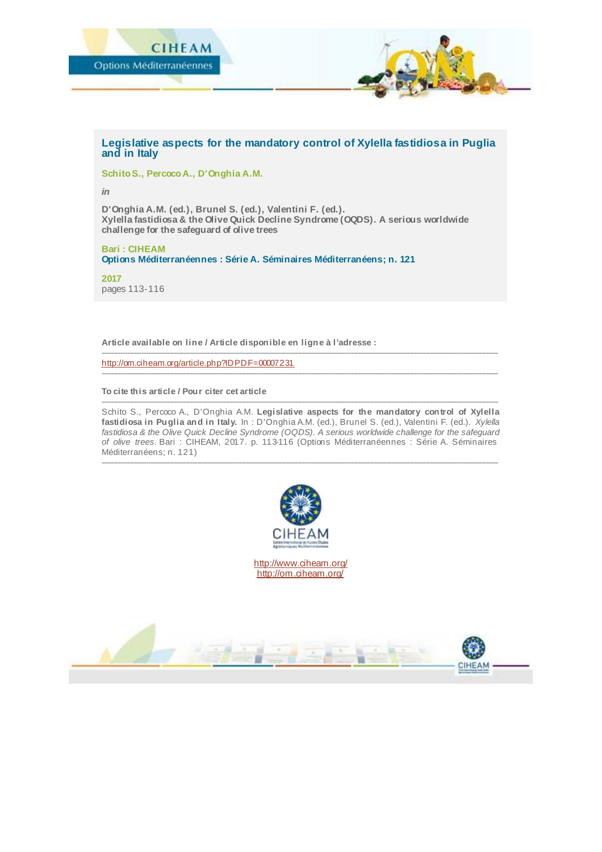

## **Legislative aspects for the mandatory control of Xylella fastidiosa in Puglia and in Italy**

**Schito S., Percoco A., D'Onghia A.M.**

*in*

**D'Onghia A.M. (ed.), Brunel S. (ed.), Valentini F. (ed.). Xylella fastidiosa & the Olive Quick Decline Syndrome (OQDS). A serious worldwide challenge for the safeguard of olive trees**

**Bari : CIHEAM Options Méditerranéennes : Série A. Séminaires Méditerranéens; n. 121**

**2017** pages 113-116

**Article available on line / Article disponible en ligne à l'adresse :**

<http://om.ciheam.org/article.php?IDPDF=00007231>

**To cite this article / Pour citer cet article**

-------------------------------------------------------------------------------------------------------------------------------------------------------------------------- Schito S., Percoco A., D'Onghia A.M. **Legislative aspects for the mandatory control of Xylella fastidiosa in Puglia and in Italy.** In : D'Onghia A.M. (ed.), Brunel S. (ed.), Valentini F. (ed.). *Xylella fastidiosa & the Olive Quick Decline Syndrome (OQDS). A serious worldwide challenge for the safeguard of olive trees.* Bari : CIHEAM, 2017. p. 113-116 (Options Méditerranéennes : Série A. Séminaires Méditerranéens; n. 121)

--------------------------------------------------------------------------------------------------------------------------------------------------------------------------

--------------------------------------------------------------------------------------------------------------------------------------------------------------------------

--------------------------------------------------------------------------------------------------------------------------------------------------------------------------



<http://www.ciheam.org/> <http://om.ciheam.org/>

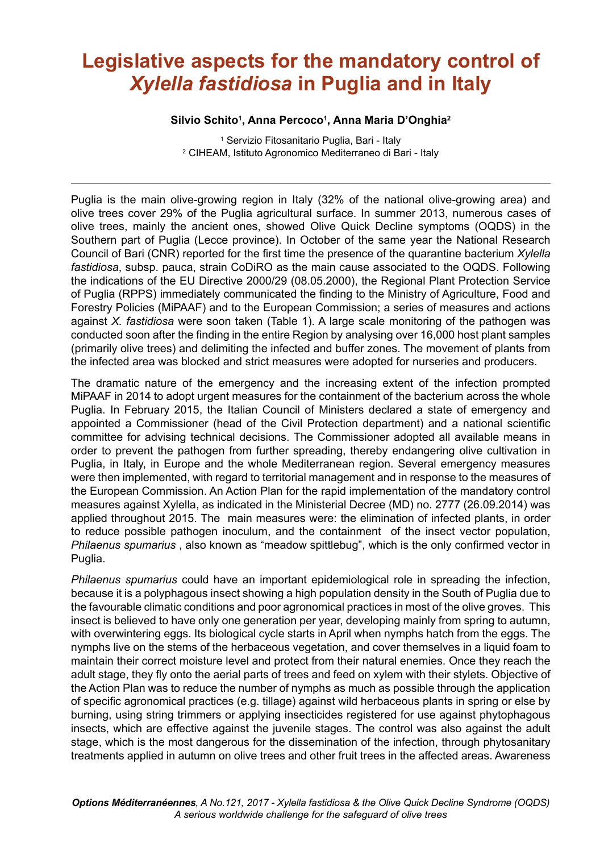## **Legislative aspects for the mandatory control of**  *Xylella fastidiosa* **in Puglia and in Italy**

## **Silvio Schito<sup>1</sup> , Anna Percoco<sup>1</sup> , Anna Maria DíOnghia<sup>2</sup>**

1 Servizio Fitosanitario Puglia, Bari - Italy 2 CIHEAM, Istituto Agronomico Mediterraneo di Bari - Italy

Puglia is the main olive-growing region in Italy (32% of the national olive-growing area) and olive trees cover 29% of the Puglia agricultural surface. In summer 2013, numerous cases of olive trees, mainly the ancient ones, showed Olive Quick Decline symptoms (OQDS) in the Southern part of Puglia (Lecce province). In October of the same year the National Research Council of Bari (CNR) reported for the irst time the presence of the quarantine bacterium *Xylella fastidiosa*, subsp. pauca, strain CoDiRO as the main cause associated to the OQDS. Following the indications of the EU Directive 2000/29 (08.05.2000), the Regional Plant Protection Service of Puglia (RPPS) immediately communicated the finding to the Ministry of Agriculture, Food and Forestry Policies (MiPAAF) and to the European Commission; a series of measures and actions against *X. fastidiosa* were soon taken (Table 1). A large scale monitoring of the pathogen was conducted soon after the inding in the entire Region by analysing over 16,000 host plant samples (primarily olive trees) and delimiting the infected and buffer zones. The movement of plants from the infected area was blocked and strict measures were adopted for nurseries and producers.

The dramatic nature of the emergency and the increasing extent of the infection prompted MiPAAF in 2014 to adopt urgent measures for the containment of the bacterium across the whole Puglia. In February 2015, the Italian Council of Ministers declared a state of emergency and appointed a Commissioner (head of the Civil Protection department) and a national scientiic committee for advising technical decisions. The Commissioner adopted all available means in order to prevent the pathogen from further spreading, thereby endangering olive cultivation in Puglia, in Italy, in Europe and the whole Mediterranean region. Several emergency measures were then implemented, with regard to territorial management and in response to the measures of the European Commission. An Action Plan for the rapid implementation of the mandatory control measures against Xylella, as indicated in the Ministerial Decree (MD) no. 2777 (26.09.2014) was applied throughout 2015. The main measures were: the elimination of infected plants, in order to reduce possible pathogen inoculum, and the containment of the insect vector population, *Philaenus spumarius* , also known as "meadow spittlebug", which is the only conirmed vector in Puglia.

*Philaenus spumarius* could have an important epidemiological role in spreading the infection, because it is a polyphagous insect showing a high population density in the South of Puglia due to the favourable climatic conditions and poor agronomical practices in most of the olive groves. This insect is believed to have only one generation per year, developing mainly from spring to autumn, with overwintering eggs. Its biological cycle starts in April when nymphs hatch from the eggs. The nymphs live on the stems of the herbaceous vegetation, and cover themselves in a liquid foam to maintain their correct moisture level and protect from their natural enemies. Once they reach the adult stage, they ly onto the aerial parts of trees and feed on xylem with their stylets. Objective of the Action Plan was to reduce the number of nymphs as much as possible through the application of speciic agronomical practices (e.g. tillage) against wild herbaceous plants in spring or else by burning, using string trimmers or applying insecticides registered for use against phytophagous insects, which are effective against the juvenile stages. The control was also against the adult stage, which is the most dangerous for the dissemination of the infection, through phytosanitary treatments applied in autumn on olive trees and other fruit trees in the affected areas. Awareness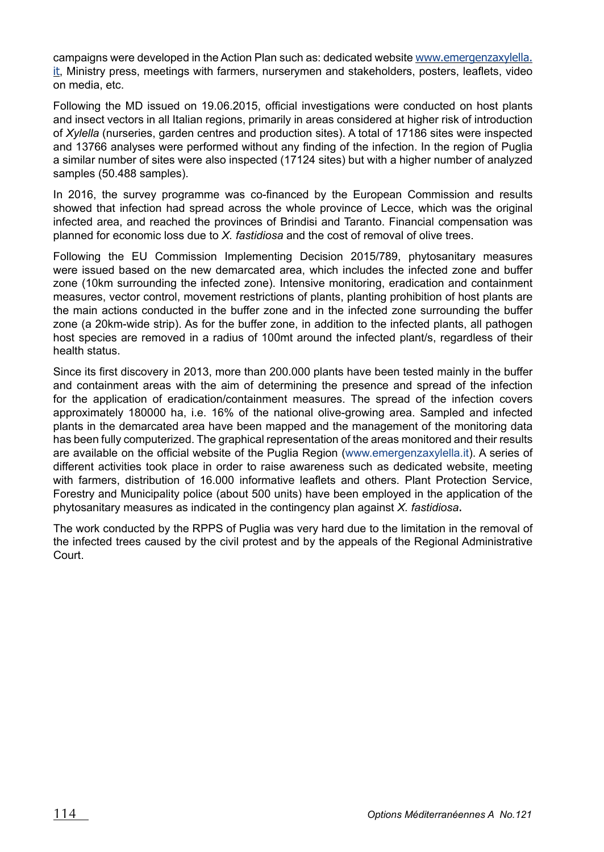campaigns were developed in the Action Plan such as: dedicated website www.emergenzaxylella. it, Ministry press, meetings with farmers, nurserymen and stakeholders, posters, leaflets, video on media, etc.

Following the MD issued on 19.06.2015, oficial investigations were conducted on host plants and insect vectors in all Italian regions, primarily in areas considered at higher risk of introduction of *Xylella* (nurseries, garden centres and production sites). A total of 17186 sites were inspected and 13766 analyses were performed without any inding of the infection. In the region of Puglia a similar number of sites were also inspected (17124 sites) but with a higher number of analyzed samples (50.488 samples).

In 2016, the survey programme was co-financed by the European Commission and results showed that infection had spread across the whole province of Lecce, which was the original infected area, and reached the provinces of Brindisi and Taranto. Financial compensation was planned for economic loss due to *X. fastidiosa* and the cost of removal of olive trees.

Following the EU Commission Implementing Decision 2015/789, phytosanitary measures were issued based on the new demarcated area, which includes the infected zone and buffer zone (10km surrounding the infected zone). Intensive monitoring, eradication and containment measures, vector control, movement restrictions of plants, planting prohibition of host plants are the main actions conducted in the buffer zone and in the infected zone surrounding the buffer zone (a 20km-wide strip). As for the buffer zone, in addition to the infected plants, all pathogen host species are removed in a radius of 100mt around the infected plant/s, regardless of their health status.

Since its irst discovery in 2013, more than 200.000 plants have been tested mainly in the buffer and containment areas with the aim of determining the presence and spread of the infection for the application of eradication/containment measures. The spread of the infection covers approximately 180000 ha, i.e. 16% of the national olive-growing area. Sampled and infected plants in the demarcated area have been mapped and the management of the monitoring data has been fully computerized. The graphical representation of the areas monitored and their results are available on the oficial website of the Puglia Region (www.emergenzaxylella.it). A series of different activities took place in order to raise awareness such as dedicated website, meeting with farmers, distribution of 16,000 informative leaflets and others. Plant Protection Service, Forestry and Municipality police (about 500 units) have been employed in the application of the phytosanitary measures as indicated in the contingency plan against *X. fastidiosa*.

The work conducted by the RPPS of Puglia was very hard due to the limitation in the removal of the infected trees caused by the civil protest and by the appeals of the Regional Administrative Court.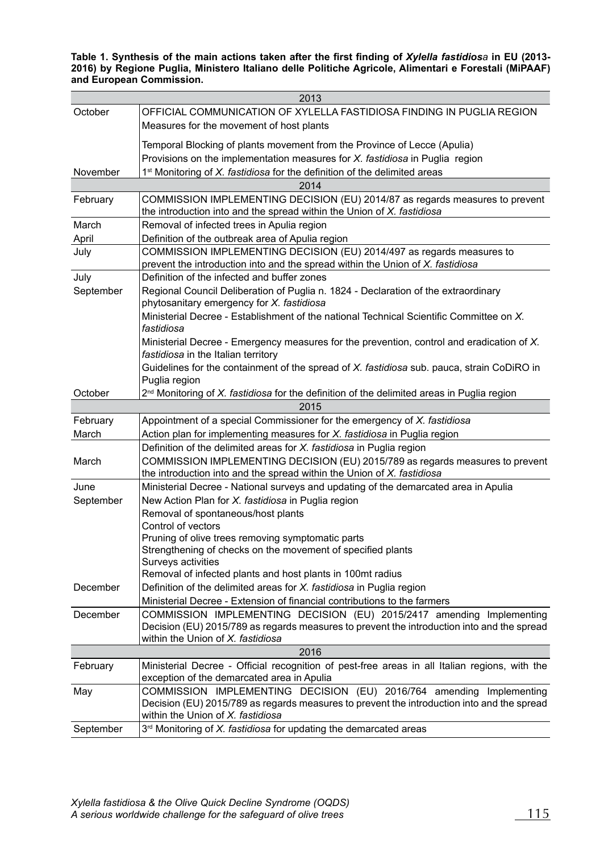**Table 1. Synthesis of the main actions taken after the irst inding of** *Xylella fastidiosa* **in EU (2013- 2016) by Regione Puglia, Ministero Italiano delle Politiche Agricole, Alimentari e Forestali (MiPAAF) and European Commission.**

| 2013      |                                                                                                                                                         |
|-----------|---------------------------------------------------------------------------------------------------------------------------------------------------------|
| October   | OFFICIAL COMMUNICATION OF XYLELLA FASTIDIOSA FINDING IN PUGLIA REGION<br>Measures for the movement of host plants                                       |
|           | Temporal Blocking of plants movement from the Province of Lecce (Apulia)                                                                                |
|           | Provisions on the implementation measures for X. fastidiosa in Puglia region                                                                            |
| November  | 1 <sup>st</sup> Monitoring of X. fastidiosa for the definition of the delimited areas                                                                   |
| 2014      |                                                                                                                                                         |
| February  | COMMISSION IMPLEMENTING DECISION (EU) 2014/87 as regards measures to prevent<br>the introduction into and the spread within the Union of X. fastidiosa  |
| March     | Removal of infected trees in Apulia region                                                                                                              |
| April     | Definition of the outbreak area of Apulia region                                                                                                        |
| July      | COMMISSION IMPLEMENTING DECISION (EU) 2014/497 as regards measures to<br>prevent the introduction into and the spread within the Union of X. fastidiosa |
| July      | Definition of the infected and buffer zones                                                                                                             |
| September | Regional Council Deliberation of Puglia n. 1824 - Declaration of the extraordinary<br>phytosanitary emergency for X. fastidiosa                         |
|           | Ministerial Decree - Establishment of the national Technical Scientific Committee on X.<br>fastidiosa                                                   |
|           | Ministerial Decree - Emergency measures for the prevention, control and eradication of X.<br>fastidiosa in the Italian territory                        |
|           | Guidelines for the containment of the spread of X. fastidiosa sub. pauca, strain CoDiRO in<br>Puglia region                                             |
| October   | 2 <sup>nd</sup> Monitoring of X. fastidiosa for the definition of the delimited areas in Puglia region                                                  |
| 2015      |                                                                                                                                                         |
| February  | Appointment of a special Commissioner for the emergency of X. fastidiosa                                                                                |
| March     | Action plan for implementing measures for X. fastidiosa in Puglia region                                                                                |
|           | Definition of the delimited areas for X. fastidiosa in Puglia region                                                                                    |
| March     | COMMISSION IMPLEMENTING DECISION (EU) 2015/789 as regards measures to prevent<br>the introduction into and the spread within the Union of X. fastidiosa |
| June      | Ministerial Decree - National surveys and updating of the demarcated area in Apulia                                                                     |
| September | New Action Plan for X. fastidiosa in Puglia region                                                                                                      |
|           | Removal of spontaneous/host plants                                                                                                                      |
|           | Control of vectors                                                                                                                                      |
|           | Pruning of olive trees removing symptomatic parts                                                                                                       |
|           | Strengthening of checks on the movement of specified plants                                                                                             |
|           | Surveys activities<br>Removal of infected plants and host plants in 100mt radius                                                                        |
| December  | Definition of the delimited areas for X. fastidiosa in Puglia region                                                                                    |
|           | Ministerial Decree - Extension of financial contributions to the farmers                                                                                |
| December  | COMMISSION IMPLEMENTING DECISION (EU) 2015/2417 amending Implementing                                                                                   |
|           | Decision (EU) 2015/789 as regards measures to prevent the introduction into and the spread<br>within the Union of X. fastidiosa                         |
| 2016      |                                                                                                                                                         |
| February  | Ministerial Decree - Official recognition of pest-free areas in all Italian regions, with the                                                           |
|           | exception of the demarcated area in Apulia                                                                                                              |
| May       | COMMISSION IMPLEMENTING DECISION (EU) 2016/764 amending Implementing                                                                                    |
|           | Decision (EU) 2015/789 as regards measures to prevent the introduction into and the spread<br>within the Union of X. fastidiosa                         |
| September | 3rd Monitoring of X. fastidiosa for updating the demarcated areas                                                                                       |